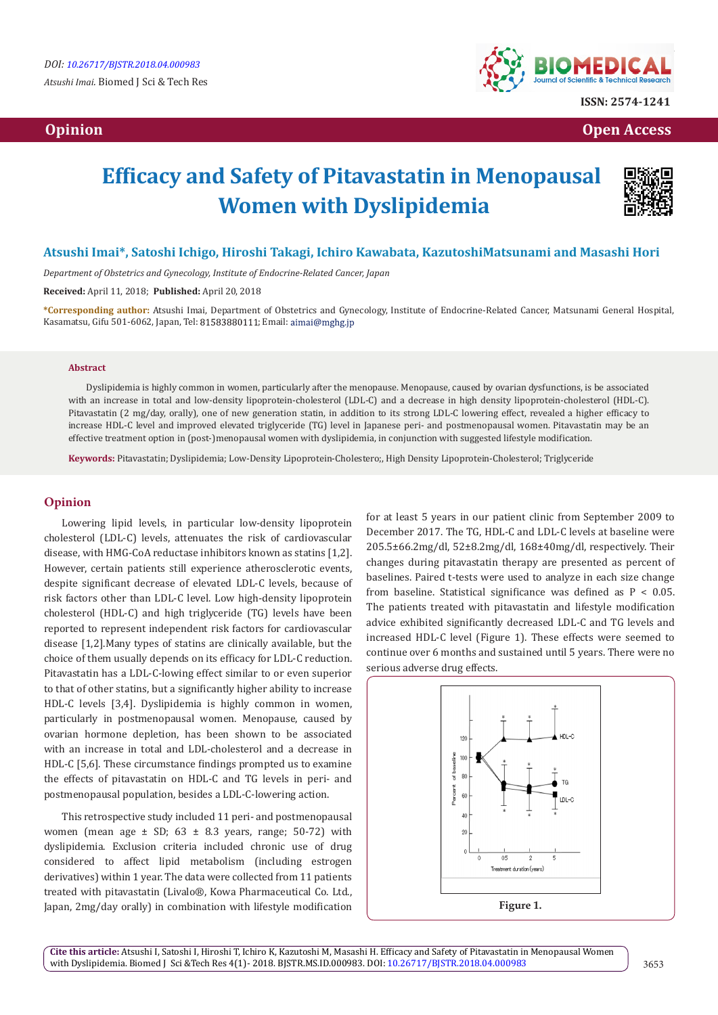# **Opinion Open Access Open Access**  *Open Access* **<b>** *Open Access*



# **Efficacy and Safety of Pitavastatin in Menopausal Women with Dyslipidemia**



## **Atsushi Imai\*, Satoshi Ichigo, Hiroshi Takagi, Ichiro Kawabata, KazutoshiMatsunami and Masashi Hori**

*Department of Obstetrics and Gynecology, Institute of Endocrine-Related Cancer, Japan*

**Received:** April 11, 2018; **Published:** April 20, 2018

**\*Corresponding author:** Atsushi Imai, Department of Obstetrics and Gynecology, Institute of Endocrine-Related Cancer, Matsunami General Hospital, Kasamatsu, Gifu 501-6062, Japan, Tel: 81583880111; Email: aimai@mghg.jp

#### **Abstract**

Dyslipidemia is highly common in women, particularly after the menopause. Menopause, caused by ovarian dysfunctions, is be associated with an increase in total and low-density lipoprotein-cholesterol (LDL-C) and a decrease in high density lipoprotein-cholesterol (HDL-C). Pitavastatin (2 mg/day, orally), one of new generation statin, in addition to its strong LDL-C lowering effect, revealed a higher efficacy to increase HDL-C level and improved elevated triglyceride (TG) level in Japanese peri- and postmenopausal women. Pitavastatin may be an effective treatment option in (post-)menopausal women with dyslipidemia, in conjunction with suggested lifestyle modification.

**Keywords:** Pitavastatin; Dyslipidemia; Low-Density Lipoprotein-Cholestero;, High Density Lipoprotein-Cholesterol; Triglyceride

## **Opinion**

Lowering lipid levels, in particular low-density lipoprotein cholesterol (LDL-C) levels, attenuates the risk of cardiovascular disease, with HMG-CoA reductase inhibitors known as statins [1,2]. However, certain patients still experience atherosclerotic events, despite significant decrease of elevated LDL-C levels, because of risk factors other than LDL-C level. Low high-density lipoprotein cholesterol (HDL-C) and high triglyceride (TG) levels have been reported to represent independent risk factors for cardiovascular disease [1,2].Many types of statins are clinically available, but the choice of them usually depends on its efficacy for LDL-C reduction. Pitavastatin has a LDL-C-lowing effect similar to or even superior to that of other statins, but a significantly higher ability to increase HDL-C levels [3,4]. Dyslipidemia is highly common in women, particularly in postmenopausal women. Menopause, caused by ovarian hormone depletion, has been shown to be associated with an increase in total and LDL-cholesterol and a decrease in HDL-C [5,6]. These circumstance findings prompted us to examine the effects of pitavastatin on HDL-C and TG levels in peri- and postmenopausal population, besides a LDL-C-lowering action.

This retrospective study included 11 peri- and postmenopausal women (mean age  $\pm$  SD; 63  $\pm$  8.3 years, range; 50-72) with dyslipidemia. Exclusion criteria included chronic use of drug considered to affect lipid metabolism (including estrogen derivatives) within 1 year. The data were collected from 11 patients treated with pitavastatin (Livalo®, Kowa Pharmaceutical Co. Ltd., Japan, 2mg/day orally) in combination with lifestyle modification for at least 5 years in our patient clinic from September 2009 to December 2017. The TG, HDL-C and LDL-C levels at baseline were 205.5±66.2mg/dl, 52±8.2mg/dl, 168±40mg/dl, respectively. Their changes during pitavastatin therapy are presented as percent of baselines. Paired t-tests were used to analyze in each size change from baseline. Statistical significance was defined as  $P < 0.05$ . The patients treated with pitavastatin and lifestyle modification advice exhibited significantly decreased LDL-C and TG levels and increased HDL-C level (Figure 1). These effects were seemed to continue over 6 months and sustained until 5 years. There were no serious adverse drug effects.